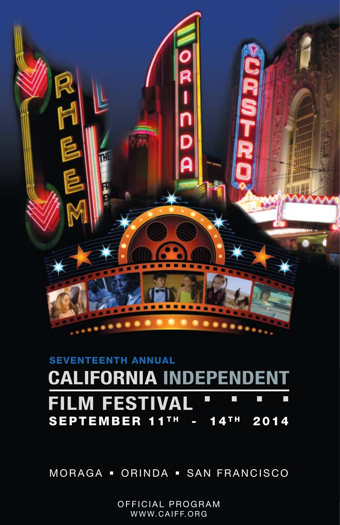

#### **SEVENTEENTH ANNUALCALIFORNIA INDEPENDENT FILM FESTIVAL**  $\Box$ П П  $\mathcal{L}_{\mathcal{A}}$  $SEPTEMBER 11^{TH} - 14^{TH} 2014$

MORAGA - ORINDA - SAN FRANCISCO

OFFICIAL PROGRAM WWW.CAIFF.ORG